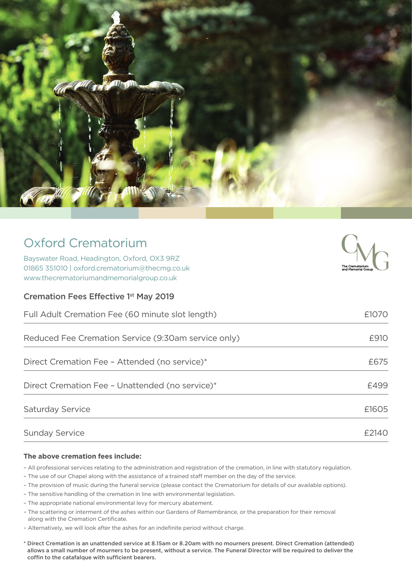

| <b>Oxford Crematorium</b> |  |
|---------------------------|--|
|                           |  |

Bayswater Road, Headington, Oxford, OX3 9RZ 01865 351010 | oxford.crematorium@thecmg.co.uk www.thecrematoriumandmemorialgroup.co.uk

Cremation Fees Effective 1st May 2019



| Full Adult Cremation Fee (60 minute slot length)    | £1070 |
|-----------------------------------------------------|-------|
| Reduced Fee Cremation Service (9:30am service only) | £910  |
| Direct Cremation Fee - Attended (no service)*       | £675  |
| Direct Cremation Fee - Unattended (no service)*     | £499  |
| Saturday Service                                    | £1605 |
| <b>Sunday Service</b>                               | £2140 |

## **The above cremation fees include:**

- All professional services relating to the administration and registration of the cremation, in line with statutory regulation.
- The use of our Chapel along with the assistance of a trained staff member on the day of the service.
- The provision of music during the funeral service (please contact the Crematorium for details of our available options).
- The sensitive handling of the cremation in line with environmental legislation.
- The appropriate national environmental levy for mercury abatement.
- The scattering or interment of the ashes within our Gardens of Remembrance, or the preparation for their removal along with the Cremation Certificate.
- Alternatively, we will look after the ashes for an indefinite period without charge.
- \* Direct Cremation is an unattended service at 8.15am or 8.20am with no mourners present. Direct Cremation (attended) allows a small number of mourners to be present, without a service. The Funeral Director will be required to deliver the coffin to the catafalque with sufficient bearers.